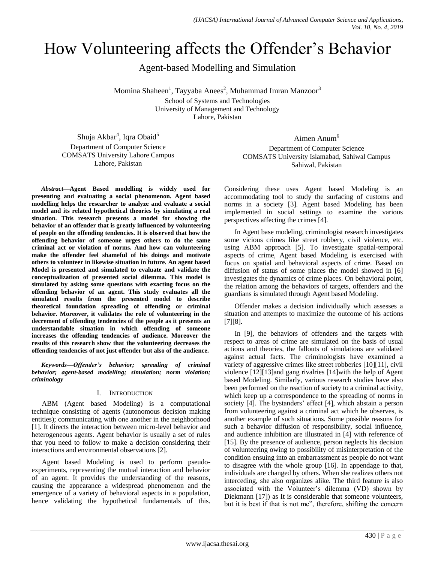# How Volunteering affects the Offender"s Behavior

Agent-based Modelling and Simulation

Momina Shaheen<sup>1</sup>, Tayyaba Anees<sup>2</sup>, Muhammad Imran Manzoor<sup>3</sup> School of Systems and Technologies University of Management and Technology Lahore, Pakistan

Shuja Akbar<sup>4</sup>, Iqra Obaid<sup>5</sup> Department of Computer Science COMSATS University Lahore Campus Lahore, Pakistan

*Abstract***—Agent Based modelling is widely used for presenting and evaluating a social phenomenon. Agent based modelling helps the researcher to analyze and evaluate a social model and its related hypothetical theories by simulating a real situation. This research presents a model for showing the behavior of an offender that is greatly influenced by volunteering of people on the offending tendencies. It is observed that how the offending behavior of someone urges others to do the same criminal act or violation of norms. And how can volunteering make the offender feel shameful of his doings and motivate others to volunteer in likewise situation in future. An agent based Model is presented and simulated to evaluate and validate the conceptualization of presented social dilemma. This model is simulated by asking some questions with exacting focus on the offending behavior of an agent. This study evaluates all the simulated results from the presented model to describe theoretical foundation spreading of offending or criminal behavior. Moreover, it validates the role of volunteering in the decrement of offending tendencies of the people as it presents an understandable situation in which offending of someone increases the offending tendencies of audience. Moreover the results of this research show that the volunteering decreases the offending tendencies of not just offender but also of the audience.**

*Keywords—Offender's behavior; spreading of criminal behavior; agent-based modelling; simulation; norm violation; criminology*

# I. INTRODUCTION

ABM (Agent based Modeling) is a computational technique consisting of agents (autonomous decision making entities); communicating with one another in the neighborhood [1]. It directs the interaction between micro-level behavior and heterogeneous agents. Agent behavior is usually a set of rules that you need to follow to make a decision considering their interactions and environmental observations [2].

Agent based Modeling is used to perform pseudoexperiments, representing the mutual interaction and behavior of an agent. It provides the understanding of the reasons, causing the appearance a widespread phenomenon and the emergence of a variety of behavioral aspects in a population, hence validating the hypothetical fundamentals of this.

Aimen Anum<sup>6</sup> Department of Computer Science COMSATS University Islamabad, Sahiwal Campus Sahiwal, Pakistan

Considering these uses Agent based Modeling is an accommodating tool to study the surfacing of customs and norms in a society [3]. Agent based Modeling has been implemented in social settings to examine the various perspectives affecting the crimes [4].

In Agent base modeling, criminologist research investigates some vicious crimes like street robbery, civil violence, etc. using ABM approach [5]. To investigate spatial-temporal aspects of crime, Agent based Modeling is exercised with focus on spatial and behavioral aspects of crime. Based on diffusion of status of some places the model showed in [6] investigates the dynamics of crime places. On behavioral point, the relation among the behaviors of targets, offenders and the guardians is simulated through Agent based Modeling.

Offender makes a decision individually which assesses a situation and attempts to maximize the outcome of his actions [7][8].

In [9], the behaviors of offenders and the targets with respect to areas of crime are simulated on the basis of usual actions and theories, the fallouts of simulations are validated against actual facts. The criminologists have examined a variety of aggressive crimes like street robberies [10][11], civil violence [12][13]and gang rivalries [14]with the help of Agent based Modeling. Similarly, various research studies have also been performed on the reaction of society to a criminal activity, which keep up a correspondence to the spreading of norms in society [4]. The bystanders' effect [4], which abstain a person from volunteering against a criminal act which he observes, is another example of such situations. Some possible reasons for such a behavior diffusion of responsibility, social influence, and audience inhibition are illustrated in [4] with reference of [15]. By the presence of audience, person neglects his decision of volunteering owing to possibility of misinterpretation of the condition ensuing into an embarrassment as people do not want to disagree with the whole group [16]. In appendage to that, individuals are changed by others. When she realizes others not interceding, she also organizes alike. The third feature is also associated with the Volunteer's dilemma (VD) shown by Diekmann [17]) as It is considerable that someone volunteers, but it is best if that is not me", therefore, shifting the concern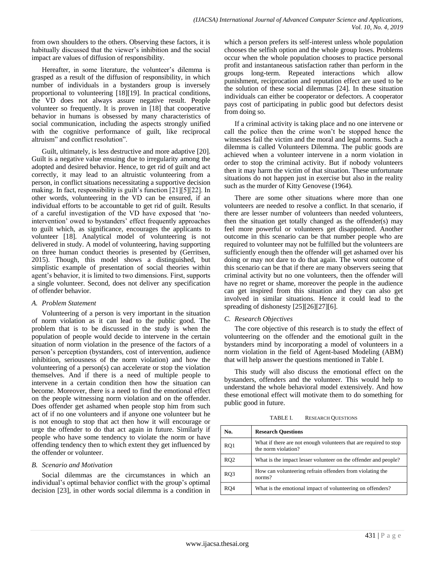from own shoulders to the others. Observing these factors, it is habitually discussed that the viewer's inhibition and the social impact are values of diffusion of responsibility.

Hereafter, in some literature, the volunteer's dilemma is grasped as a result of the diffusion of responsibility, in which number of individuals in a bystanders group is inversely proportional to volunteering [18][19]. In practical conditions, the VD does not always assure negative result. People volunteer so frequently. It is proven in [18] that cooperative behavior in humans is obsessed by many characteristics of social communication, including the aspects strongly unified with the cognitive performance of guilt, like reciprocal altruism" and conflict resolution".

Guilt, ultimately, is less destructive and more adaptive [20]. Guilt is a negative value ensuing due to irregularity among the adopted and desired behavior. Hence, to get rid of guilt and act correctly, it may lead to an altruistic volunteering from a person, in conflict situations necessitating a supportive decision making. In fact, responsibility is guilt's function [21][5][22]. In other words, volunteering in the VD can be ensured, if an individual efforts to be accountable to get rid of guilt. Results of a careful investigation of the VD have exposed that "nointervention' owed to bystanders' effect frequently approaches to guilt which, as significance, encourages the applicants to volunteer [18]. Analytical model of volunteering is not delivered in study. A model of volunteering, having supporting on three human conduct theories is presented by (Gerritsen, 2015). Though, this model shows a distinguished, but simplistic example of presentation of social theories within agent"s behavior, it is limited to two dimensions. First, supports a single volunteer. Second, does not deliver any specification of offender behavior.

## *A. Problem Statement*

Volunteering of a person is very important in the situation of norm violation as it can lead to the public good. The problem that is to be discussed in the study is when the population of people would decide to intervene in the certain situation of norm violation in the presence of the factors of a person"s perception (bystanders, cost of intervention, audience inhibition, seriousness of the norm violation) and how the volunteering of a person(s) can accelerate or stop the violation themselves. And if there is a need of multiple people to intervene in a certain condition then how the situation can become. Moreover, there is a need to find the emotional effect on the people witnessing norm violation and on the offender. Does offender get ashamed when people stop him from such act of if no one volunteers and if anyone one volunteer but he is not enough to stop that act then how it will encourage or urge the offender to do that act again in future. Similarly if people who have some tendency to violate the norm or have offending tendency then to which extent they get influenced by the offender or volunteer.

## *B. Scenario and Motivation*

Social dilemmas are the circumstances in which an individual"s optimal behavior conflict with the group"s optimal decision [23], in other words social dilemma is a condition in which a person prefers its self-interest unless whole population chooses the selfish option and the whole group loses. Problems occur when the whole population chooses to practice personal profit and instantaneous satisfaction rather than perform in the groups long-term. Repeated interactions which allow punishment, reciprocation and reputation effect are used to be the solution of these social dilemmas [24]. In these situation individuals can either be cooperator or defectors. A cooperator pays cost of participating in public good but defectors desist from doing so.

If a criminal activity is taking place and no one intervene or call the police then the crime won"t be stopped hence the witnesses fail the victim and the moral and legal norms. Such a dilemma is called Volunteers Dilemma. The public goods are achieved when a volunteer intervene in a norm violation in order to stop the criminal activity. But if nobody volunteers then it may harm the victim of that situation. These unfortunate situations do not happen just in exercise but also in the reality such as the murder of Kitty Genovese (1964).

There are some other situations where more than one volunteers are needed to resolve a conflict. In that scenario, if there are lesser number of volunteers than needed volunteers, then the situation get totally changed as the offender(s) may feel more powerful or volunteers get disappointed. Another outcome in this scenario can be that number people who are required to volunteer may not be fulfilled but the volunteers are sufficiently enough then the offender will get ashamed over his doing or may not dare to do that again. The worst outcome of this scenario can be that if there are many observers seeing that criminal activity but no one volunteers, then the offender will have no regret or shame, moreover the people in the audience can get inspired from this situation and they can also get involved in similar situations. Hence it could lead to the spreading of dishonesty [25][26][27][6].

## *C. Research Objectives*

The core objective of this research is to study the effect of volunteering on the offender and the emotional guilt in the bystanders mind by incorporating a model of volunteers in a norm violation in the field of Agent-based Modeling (ABM) that will help answer the questions mentioned in Table I.

This study will also discuss the emotional effect on the bystanders, offenders and the volunteer. This would help to understand the whole behavioral model extensively. And how these emotional effect will motivate them to do something for public good in future.

TABLE I. RESEARCH QUESTIONS

| No.             | <b>Research Ouestions</b>                                                                |
|-----------------|------------------------------------------------------------------------------------------|
| RQ1             | What if there are not enough volunteers that are required to stop<br>the norm violation? |
| RQ <sub>2</sub> | What is the impact lesser volunteer on the offender and people?                          |
| RQ3             | How can volunteering refrain offenders from violating the<br>$norms$ ?                   |
| RO4             | What is the emotional impact of volunteering on offenders?                               |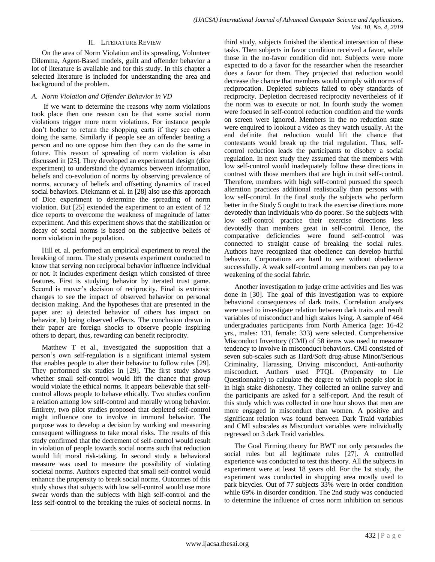## II. LITERATURE REVIEW

On the area of Norm Violation and its spreading, Volunteer Dilemma, Agent-Based models, guilt and offender behavior a lot of literature is available and for this study. In this chapter a selected literature is included for understanding the area and background of the problem.

# *A. Norm Violation and Offender Behavior in VD*

If we want to determine the reasons why norm violations took place then one reason can be that some social norm violations trigger more norm violations. For instance people don"t bother to return the shopping carts if they see others doing the same. Similarly if people see an offender beating a person and no one oppose him then they can do the same in future. This reason of spreading of norm violation is also discussed in [25]. They developed an experimental design (dice experiment) to understand the dynamics between information, beliefs and co-evolution of norms by observing prevalence of norms, accuracy of beliefs and offsetting dynamics of traced social behaviors. Diekmann et al. in [28] also use this approach of Dice experiment to determine the spreading of norm violation. But [25] extended the experiment to an extent of 12 dice reports to overcome the weakness of magnitude of latter experiment. And this experiment shows that the stabilization or decay of social norms is based on the subjective beliefs of norm violation in the population.

Hill et. al. performed an empirical experiment to reveal the breaking of norm. The study presents experiment conducted to know that serving non reciprocal behavior influence individual or not. It includes experiment design which consisted of three features. First is studying behavior by iterated trust game. Second is mover's decision of reciprocity. Final is extrinsic changes to see the impact of observed behavior on personal decision making. And the hypotheses that are presented in the paper are: a) detected behavior of others has impact on behavior, b) being observed effects. The conclusion drawn in their paper are foreign shocks to observe people inspiring others to depart, thus, rewarding can benefit reciprocity.

Matthew T et al., investigated the supposition that a person"s own self-regulation is a significant internal system that enables people to alter their behavior to follow rules [29]. They performed six studies in [29]. The first study shows whether small self-control would lift the chance that group would violate the ethical norms. It appears believable that selfcontrol allows people to behave ethically. Two studies confirm a relation among low self-control and morally wrong behavior. Entirety, two pilot studies proposed that depleted self-control might influence one to involve in immoral behavior. The purpose was to develop a decision by working and measuring consequent willingness to take moral risks. The results of this study confirmed that the decrement of self-control would result in violation of people towards social norms such that reduction would lift moral risk-taking. In second study a behavioral measure was used to measure the possibility of violating societal norms. Authors expected that small self-control would enhance the propensity to break social norms. Outcomes of this study shows that subjects with low self-control would use more swear words than the subjects with high self-control and the less self-control to the breaking the rules of societal norms. In

third study, subjects finished the identical intersection of these tasks. Then subjects in favor condition received a favor, while those in the no-favor condition did not. Subjects were more expected to do a favor for the researcher when the researcher does a favor for them. They projected that reduction would decrease the chance that members would comply with norms of reciprocation. Depleted subjects failed to obey standards of reciprocity. Depletion decreased reciprocity nevertheless of if the norm was to execute or not. In fourth study the women were focused in self-control reduction condition and the words on screen were ignored. Members in the no reduction state were enquired to lookout a video as they watch usually. At the end definite that reduction would lift the chance that contestants would break up the trial regulation. Thus, selfcontrol reduction leads the participants to disobey a social regulation. In next study they assumed that the members with low self-control would inadequately follow these directions in contrast with those members that are high in trait self-control. Therefore, members with high self-control pursued the speech alteration practices additional realistically than persons with low self-control. In the final study the subjects who perform better in the Study 5 ought to track the exercise directions more devotedly than individuals who do poorer. So the subjects with low self-control practice their exercise directions less devotedly than members great in self-control. Hence, the comparative deficiencies were found self-control was connected to straight cause of breaking the social rules. Authors have recognized that obedience can develop hurtful behavior. Corporations are hard to see without obedience successfully. A weak self-control among members can pay to a weakening of the social fabric.

Another investigation to judge crime activities and lies was done in [30]. The goal of this investigation was to explore behavioral consequences of dark traits. Correlation analyses were used to investigate relation between dark traits and result variables of misconduct and high stakes lying. A sample of 464 undergraduates participants from North America (age: 16-42 yrs., males: 131, female: 333) were selected. Comprehensive Misconduct Inventory (CMI) of 58 items was used to measure tendency to involve in misconduct behaviors. CMI consisted of seven sub-scales such as Hard/Soft drug-abuse Minor/Serious Criminality, Harassing, Driving misconduct, Anti-authority misconduct. Authors used PTQL (Propensity to Lie Questionnaire) to calculate the degree to which people slot in in high stake dishonesty. They collected an online survey and the participants are asked for a self-report. And the result of this study which was collected in one hour shows that men are more engaged in misconduct than women. A positive and significant relation was found between Dark Traid variables and CMI subscales as Misconduct variables were individually regressed on 3 dark Traid variables.

The Goal Firming theory for BWT not only persuades the social rules but all legitimate rules [27]. A controlled experience was conducted to test this theory. All the subjects in experiment were at least 18 years old. For the 1st study, the experiment was conducted in shopping area mostly used to park bicycles. Out of 77 subjects 33% were in order condition while 69% in disorder condition. The 2nd study was conducted to determine the influence of cross norm inhibition on serious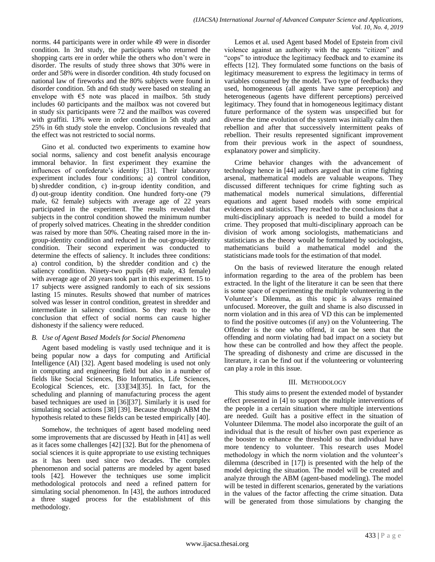norms. 44 participants were in order while 49 were in disorder condition. In 3rd study, the participants who returned the shopping carts ere in order while the others who don"t were in disorder. The results of study three shows that 30% were in order and 58% were in disorder condition. 4th study focused on national law of fireworks and the 80% subjects were found in disorder condition. 5th and 6th study were based on stealing an envelope with  $\epsilon$ 5 note was placed in mailbox. 5th study includes 60 participants and the mailbox was not covered but in study six participants were 72 and the mailbox was covered with graffiti. 13% were in order condition in 5th study and 25% in 6th study stole the envelop. Conclusions revealed that the effect was not restricted to social norms.

Gino et al. conducted two experiments to examine how social norms, saliency and cost benefit analysis encourage immoral behavior. In first experiment they examine the influences of confederate's identity [31]. Their laboratory experiment includes four conditions; a) control condition, b) shredder condition, c) in-group identity condition, and d) out-group identity condition. One hundred forty-one (79 male, 62 female) subjects with average age of 22 years participated in the experiment. The results revealed that subjects in the control condition showed the minimum number of properly solved matrices. Cheating in the shredder condition was raised by more than 50%. Cheating raised more in the ingroup-identity condition and reduced in the out-group-identity condition. Their second experiment was conducted to determine the effects of saliency. It includes three conditions: a) control condition, b) the shredder condition and c) the saliency condition. Ninety-two pupils (49 male, 43 female) with average age of 20 years took part in this experiment. 15 to 17 subjects were assigned randomly to each of six sessions lasting 15 minutes. Results showed that number of matrices solved was lesser in control condition, greatest in shredder and intermediate in saliency condition. So they reach to the conclusion that effect of social norms can cause higher dishonesty if the saliency were reduced.

# *B. Use of Agent Based Models for Social Phenomena*

Agent based modeling is vastly used technique and it is being popular now a days for computing and Artificial Intelligence (AI) [32]. Agent based modeling is used not only in computing and engineering field but also in a number of fields like Social Sciences, Bio Informatics, Life Sciences, Ecological Sciences, etc. [33][34][35]. In fact, for the scheduling and planning of manufacturing process the agent based techniques are used in [36][37]. Similarly it is used for simulating social actions [38] [39]. Because through ABM the hypothesis related to these fields can be tested empirically [40].

Somehow, the techniques of agent based modeling need some improvements that are discussed by Heath in [41] as well as it faces some challenges [42] [32]. But for the phenomena of social sciences it is quite appropriate to use existing techniques as it has been used since two decades. The complex phenomenon and social patterns are modeled by agent based tools [42]. However the techniques use some implicit methodological protocols and need a refined pattern for simulating social phenomenon. In [43], the authors introduced a three staged process for the establishment of this methodology.

Lemos et al. used Agent based Model of Epstein from civil violence against an authority with the agents "citizen" and "cops" to introduce the legitimacy feedback and to examine its effects [12]. They formulated some functions on the basis of legitimacy measurement to express the legitimacy in terms of variables consumed by the model. Two type of feedbacks they used, homogeneous (all agents have same perception) and heterogeneous (agents have different perceptions) perceived legitimacy. They found that in homogeneous legitimacy distant future performance of the system was unspecified but for diverse the time evolution of the system was initially calm then rebellion and after that successively intermittent peaks of rebellion. Their results represented significant improvement from their previous work in the aspect of soundness, explanatory power and simplicity.

Crime behavior changes with the advancement of technology hence in [44] authors argued that in crime fighting arsenal, mathematical models are valuable weapons. They discussed different techniques for crime fighting such as mathematical models numerical simulations, differential equations and agent based models with some empirical evidences and statistics. They reached to the conclusions that a multi-disciplinary approach is needed to build a model for crime. They proposed that multi-disciplinary approach can be division of work among sociologists, mathematicians and statisticians as the theory would be formulated by sociologists, mathematicians build a mathematical model and the statisticians made tools for the estimation of that model.

On the basis of reviewed literature the enough related information regarding to the area of the problem has been extracted. In the light of the literature it can be seen that there is some space of experimenting the multiple volunteering in the Volunteer"s Dilemma, as this topic is always remained unfocused. Moreover, the guilt and shame is also discussed in norm violation and in this area of VD this can be implemented to find the positive outcomes (if any) on the Volunteering. The Offender is the one who offend, it can be seen that the offending and norm violating had bad impact on a society but how these can be controlled and how they affect the people. The spreading of dishonesty and crime are discussed in the literature, it can be find out if the volunteering or volunteering can play a role in this issue.

# III. METHODOLOGY

This study aims to present the extended model of bystander effect presented in [4] to support the multiple interventions of the people in a certain situation where multiple interventions are needed. Guilt has a positive effect in the situation of Volunteer Dilemma. The model also incorporate the guilt of an individual that is the result of his/her own past experience as the booster to enhance the threshold so that individual have more tendency to volunteer. This research uses Model methodology in which the norm violation and the volunteer's dilemma (described in [17]) is presented with the help of the model depicting the situation. The model will be created and analyze through the ABM (agent-based modeling). The model will be tested in different scenarios, generated by the variations in the values of the factor affecting the crime situation. Data will be generated from those simulations by changing the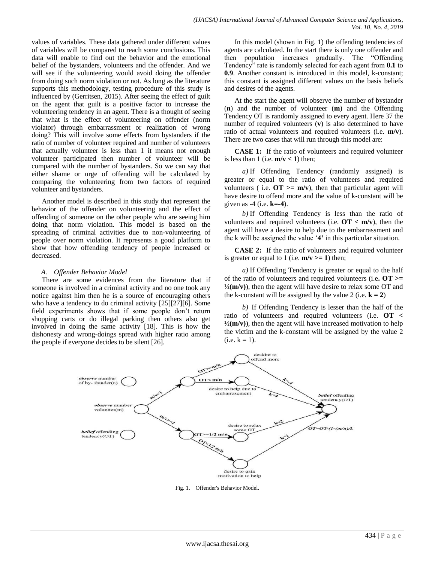values of variables. These data gathered under different values of variables will be compared to reach some conclusions. This data will enable to find out the behavior and the emotional belief of the bystanders, volunteers and the offender. And we will see if the volunteering would avoid doing the offender from doing such norm violation or not. As long as the literature supports this methodology, testing procedure of this study is influenced by (Gerritsen, 2015). After seeing the effect of guilt on the agent that guilt is a positive factor to increase the volunteering tendency in an agent. There is a thought of seeing that what is the effect of volunteering on offender (norm violator) through embarrassment or realization of wrong doing? This will involve some effects from bystanders if the ratio of number of volunteer required and number of volunteers that actually volunteer is less than 1 it means not enough volunteer participated then number of volunteer will be compared with the number of bystanders. So we can say that either shame or urge of offending will be calculated by comparing the volunteering from two factors of required volunteer and bystanders.

Another model is described in this study that represent the behavior of the offender on volunteering and the effect of offending of someone on the other people who are seeing him doing that norm violation. This model is based on the spreading of criminal activities due to non-volunteering of people over norm violation. It represents a good platform to show that how offending tendency of people increased or decreased.

## *A. Offender Behavior Model*

There are some evidences from the literature that if someone is involved in a criminal activity and no one took any notice against him then he is a source of encouraging others who have a tendency to do criminal activity [25][27][6]. Some field experiments shows that if some people don"t return shopping carts or do illegal parking then others also get involved in doing the same activity [18]. This is how the dishonesty and wrong-doings spread with higher ratio among the people if everyone decides to be silent [26].

In this model (shown in Fig. 1) the offending tendencies of agents are calculated. In the start there is only one offender and then population increases gradually. The "Offending Tendency" rate is randomly selected for each agent from **0.1** to **0.9**. Another constant is introduced in this model, k-constant; this constant is assigned different values on the basis beliefs and desires of the agents.

At the start the agent will observe the number of bystander (**n**) and the number of volunteer (**m**) and the Offending Tendency OT is randomly assigned to every agent. Here 37 the number of required volunteers (**v**) is also determined to have ratio of actual volunteers and required volunteers (i.e. **m/v**). There are two cases that will run through this model are:

**CASE 1:** If the ratio of volunteers and required volunteer is less than 1 (i.e.  $m/v < 1$ ) then;

*a)* If Offending Tendency (randomly assigned) is greater or equal to the ratio of volunteers and required volunteers ( i.e.  $\overline{OT}$  >=  $\overline{m}/v$ ), then that particular agent will have desire to offend more and the value of k-constant will be given as -4 (i.e. **k=-4**).

*b)* If Offending Tendency is less than the ratio of volunteers and required volunteers (i.e. **OT < m/v**), then the agent will have a desire to help due to the embarrassment and the k will be assigned the value "**4'** in this particular situation.

**CASE 2:** If the ratio of volunteers and required volunteer is greater or equal to 1 (i.e.  $m/v \ge 1$ ) then;

*a)* If Offending Tendency is greater or equal to the half of the ratio of volunteers and required volunteers (i.e**. OT >=**   $\frac{1}{2}$ (m/v)), then the agent will have desire to relax some OT and the k-constant will be assigned by the value 2 (i.e.  $k = 2$ )

*b)* If Offending Tendency is lesser than the half of the ratio of volunteers and required volunteers (i.e. **OT <**   $\frac{1}{2}$ (m/v)), then the agent will have increased motivation to help the victim and the k-constant will be assigned by the value 2  $(i.e. k = 1).$ 



Fig. 1. Offender's Behavior Model.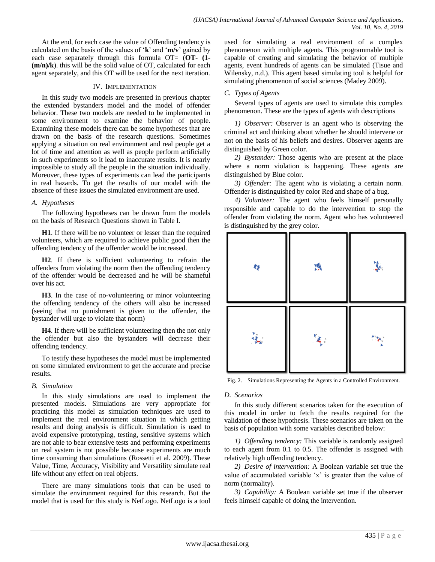At the end, for each case the value of Offending tendency is calculated on the basis of the values of "**k**" and "**m/v**" gained by each case separately through this formula OT= (**OT- (1- (m/n)/k**). this will be the solid value of OT, calculated for each agent separately, and this OT will be used for the next iteration.

## IV. IMPLEMENTATION

In this study two models are presented in previous chapter the extended bystanders model and the model of offender behavior. These two models are needed to be implemented in some environment to examine the behavior of people. Examining these models there can be some hypotheses that are drawn on the basis of the research questions. Sometimes applying a situation on real environment and real people get a lot of time and attention as well as people perform artificially in such experiments so it lead to inaccurate results. It is nearly impossible to study all the people in the situation individually. Moreover, these types of experiments can lead the participants in real hazards. To get the results of our model with the absence of these issues the simulated environment are used.

## *A. Hypotheses*

The following hypotheses can be drawn from the models on the basis of Research Questions shown in Table I.

**H1**. If there will be no volunteer or lesser than the required volunteers, which are required to achieve public good then the offending tendency of the offender would be increased.

**H2**. If there is sufficient volunteering to refrain the offenders from violating the norm then the offending tendency of the offender would be decreased and he will be shameful over his act.

**H3**. In the case of no-volunteering or minor volunteering the offending tendency of the others will also be increased (seeing that no punishment is given to the offender, the bystander will urge to violate that norm)

**H4**. If there will be sufficient volunteering then the not only the offender but also the bystanders will decrease their offending tendency.

To testify these hypotheses the model must be implemented on some simulated environment to get the accurate and precise results.

## *B. Simulation*

In this study simulations are used to implement the presented models. Simulations are very appropriate for practicing this model as simulation techniques are used to implement the real environment situation in which getting results and doing analysis is difficult. Simulation is used to avoid expensive prototyping, testing, sensitive systems which are not able to bear extensive tests and performing experiments on real system is not possible because experiments are much time consuming than simulations (Rossetti et al. 2009). These Value, Time, Accuracy, Visibility and Versatility simulate real life without any effect on real objects.

There are many simulations tools that can be used to simulate the environment required for this research. But the model that is used for this study is NetLogo. NetLogo is a tool used for simulating a real environment of a complex phenomenon with multiple agents. This programmable tool is capable of creating and simulating the behavior of multiple agents, event hundreds of agents can be simulated (Tisue and Wilensky, n.d.). This agent based simulating tool is helpful for simulating phenomenon of social sciences (Madey 2009).

## *C. Types of Agents*

Several types of agents are used to simulate this complex phenomenon. These are the types of agents with descriptions

*1) Observer:* Observer is an agent who is observing the criminal act and thinking about whether he should intervene or not on the basis of his beliefs and desires. Observer agents are distinguished by Green color.

*2) Bystander:* Those agents who are present at the place where a norm violation is happening. These agents are distinguished by Blue color.

*3) Offender:* The agent who is violating a certain norm. Offender is distinguished by color Red and shape of a bug.

*4) Volunteer:* The agent who feels himself personally responsible and capable to do the intervention to stop the offender from violating the norm. Agent who has volunteered is distinguished by the grey color.



Fig. 2. Simulations Representing the Agents in a Controlled Environment.

#### *D. Scenarios*

In this study different scenarios taken for the execution of this model in order to fetch the results required for the validation of these hypothesis. These scenarios are taken on the basis of population with some variables described below:

*1) Offending tendency:* This variable is randomly assigned to each agent from 0.1 to 0.5. The offender is assigned with relatively high offending tendency.

*2) Desire of intervention:* A Boolean variable set true the value of accumulated variable 'x' is greater than the value of norm (normality).

*3) Capability:* A Boolean variable set true if the observer feels himself capable of doing the intervention.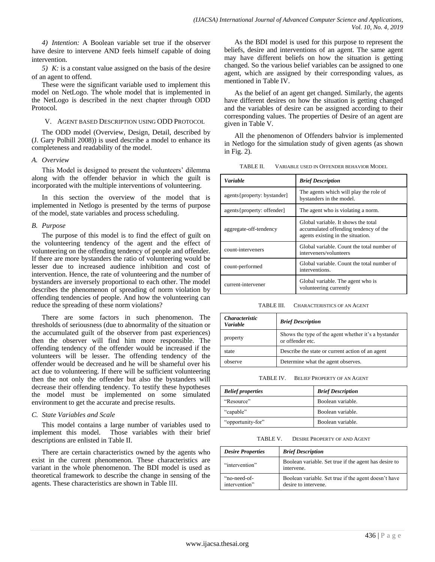*4) Intention:* A Boolean variable set true if the observer have desire to intervene AND feels himself capable of doing intervention.

*5) K:* is a constant value assigned on the basis of the desire of an agent to offend.

These were the significant variable used to implement this model on NetLogo. The whole model that is implemented in the NetLogo is described in the next chapter through ODD Protocol.

## V. AGENT BASED DESCRIPTION USING ODD PROTOCOL

The ODD model (Overview, Design, Detail, described by (J. Gary Polhill 2008)) is used describe a model to enhance its completeness and readability of the model.

## *A. Overview*

This Model is designed to present the volunteers' dilemma along with the offender behavior in which the guilt is incorporated with the multiple interventions of volunteering.

In this section the overview of the model that is implemented in Netlogo is presented by the terms of purpose of the model, state variables and process scheduling.

## *B. Purpose*

The purpose of this model is to find the effect of guilt on the volunteering tendency of the agent and the effect of volunteering on the offending tendency of people and offender. If there are more bystanders the ratio of volunteering would be lesser due to increased audience inhibition and cost of intervention. Hence, the rate of volunteering and the number of bystanders are inversely proportional to each other. The model describes the phenomenon of spreading of norm violation by offending tendencies of people. And how the volunteering can reduce the spreading of these norm violations?

There are some factors in such phenomenon. The thresholds of seriousness (due to abnormality of the situation or the accumulated guilt of the observer from past experiences) then the observer will find him more responsible. The offending tendency of the offender would be increased if the volunteers will be lesser. The offending tendency of the offender would be decreased and he will be shameful over his act due to volunteering. If there will be sufficient volunteering then the not only the offender but also the bystanders will decrease their offending tendency. To testify these hypotheses the model must be implemented on some simulated environment to get the accurate and precise results.

## *C. State Variables and Scale*

This model contains a large number of variables used to implement this model. Those variables with their brief descriptions are enlisted in Table II.

There are certain characteristics owned by the agents who exist in the current phenomenon. These characteristics are variant in the whole phenomenon. The BDI model is used as theoretical framework to describe the change in sensing of the agents. These characteristics are shown in Table III.

As the BDI model is used for this purpose to represent the beliefs, desire and interventions of an agent. The same agent may have different beliefs on how the situation is getting changed. So the various belief variables can be assigned to one agent, which are assigned by their corresponding values, as mentioned in Table IV.

As the belief of an agent get changed. Similarly, the agents have different desires on how the situation is getting changed and the variables of desire can be assigned according to their corresponding values. The properties of Desire of an agent are given in Table V.

All the phenomenon of Offenders bahvior is implemented in Netlogo for the simulation study of given agents (as shown in Fig. 2).

| TABLE II. | VARIABLE USED IN OFFENDER BEHAVIOR MODEL |  |  |
|-----------|------------------------------------------|--|--|
|           |                                          |  |  |

| <b>Variable</b>               | <b>Brief Description</b>                                                                                          |
|-------------------------------|-------------------------------------------------------------------------------------------------------------------|
| agents { property: bystander] | The agents which will play the role of<br>bystanders in the model.                                                |
| agents { property: offender]  | The agent who is violating a norm.                                                                                |
| aggregate-off-tendency        | Global variable. It shows the total<br>accumulated offending tendency of the<br>agents existing in the situation. |
| count-interveners             | Global variable. Count the total number of<br>interveners/volunteers                                              |
| count-performed               | Global variable. Count the total number of<br>interventions.                                                      |
| current-intervener            | Global variable. The agent who is<br>volunteering currently                                                       |

TABLE III. CHARACTERISTICS OF AN AGENT

| <i><b>Characteristic</b></i><br><b>Variable</b> | <b>Brief Description</b>                                                 |
|-------------------------------------------------|--------------------------------------------------------------------------|
| property                                        | Shows the type of the agent whether it's a bystander<br>or offender etc. |
| state                                           | Describe the state or current action of an agent                         |
| observe                                         | Determine what the agent observes.                                       |

TABLE IV. BELIEF PROPERTY OF AN AGENT

|                          | <b>Brief Description</b> |
|--------------------------|--------------------------|
| <b>Belief properties</b> |                          |
| "Resource"               | Boolean variable.        |
| "capable"                | Boolean variable.        |
| "opportunity-for"        | Boolean variable.        |
|                          |                          |

TABLE V. DESIRE PROPERTY OF AND AGENT

| <b>Desire Properties</b>      | <b>Brief Description</b>                                                     |
|-------------------------------|------------------------------------------------------------------------------|
| "intervention"                | Boolean variable. Set true if the agent has desire to<br>intervene.          |
| "no-need-of-<br>intervention" | Boolean variable. Set true if the agent doesn't have<br>desire to intervene. |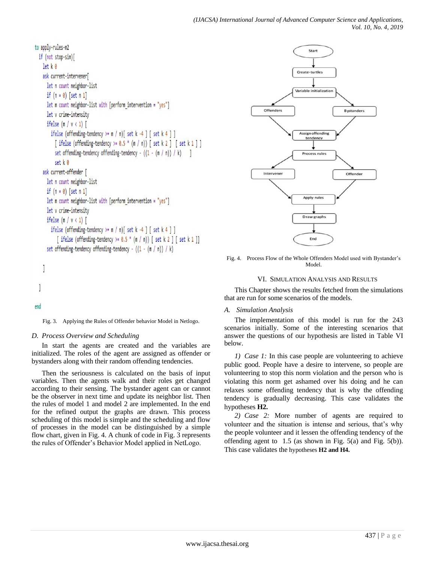```
to apply-rules-m2
if (not stop-sim)[
  let k<sub>0</sub>ask current-intervener[
    let n count neighbor-list
    if (n = 0) [set n 1]
    let m count neighbor-list with [perform intervention = "yes"]
    let v crime-intensity
    ifelse (m / v < 1)ifelse (offending-tendency >= m / n) [ set k -4 ] [ set k 4 ] ]
        [ifelse (offending-tendency >= 0.5 * (m/n)) [set k 2 ] [set k 1 ]]
        set offending-tendency offending-tendency - ((1 - (m/n)) / k)]
        set k 0ask current-offender [
    let n count neighbor-list
    if (n = 0) [set n 1]
    let m count neighbor-list with [perform_intervention = "yes"]
    let v crime-intensity
    ifelse (m / v < 1)ifelse (offending-tendency >= m / n)[ set k -4 ] [ set k 4 ] ]
         [ifelse (offending-tendency >= 0.5 * (m/n)) [set k 2 ] [set k 1 ]]
    set offending-tendency offending-tendency - ((1 - (m/n)) / k)1
```
## end

1

Fig. 3. Applying the Rules of Offender behavior Model in Netlogo.

## *D. Process Overview and Scheduling*

In start the agents are created and the variables are initialized. The roles of the agent are assigned as offender or bystanders along with their random offending tendencies.

Then the seriousness is calculated on the basis of input variables. Then the agents walk and their roles get changed according to their sensing. The bystander agent can or cannot be the observer in next time and update its neighbor list. Then the rules of model 1 and model 2 are implemented. In the end for the refined output the graphs are drawn. This process scheduling of this model is simple and the scheduling and flow of processes in the model can be distinguished by a simple flow chart, given in Fig. 4. A chunk of code in Fig. 3 represents the rules of Offender"s Behavior Model applied in NetLogo.



Fig. 4. Process Flow of the Whole Offenders Model used with Bystander"s Model.

#### VI. SIMULATION ANALYSIS AND RESULTS

This Chapter shows the results fetched from the simulations that are run for some scenarios of the models.

#### *A. Simulation Analysis*

The implementation of this model is run for the 243 scenarios initially. Some of the interesting scenarios that answer the questions of our hypothesis are listed in Table VI below.

*1) Case 1:* In this case people are volunteering to achieve public good. People have a desire to intervene, so people are volunteering to stop this norm violation and the person who is violating this norm get ashamed over his doing and he can relaxes some offending tendency that is why the offending tendency is gradually decreasing. This case validates the hypotheses **H2.**

*2) Case 2:* More number of agents are required to volunteer and the situation is intense and serious, that"s why the people volunteer and it lessen the offending tendency of the offending agent to 1.5 (as shown in Fig. 5(a) and Fig. 5(b)). This case validates the hypotheses **H2 and H4.**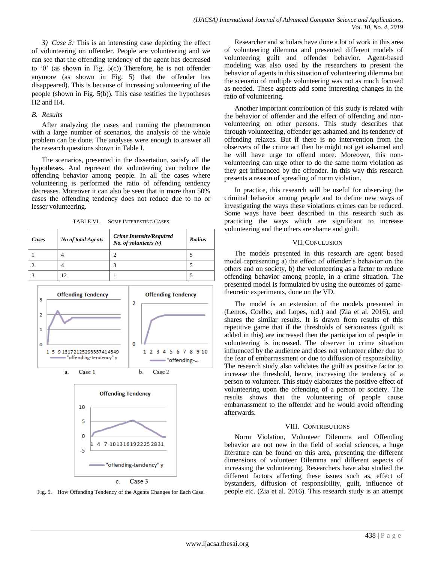*3) Case 3:* This is an interesting case depicting the effect of volunteering on offender. People are volunteering and we can see that the offending tendency of the agent has decreased to "0" (as shown in Fig. 5(c)) Therefore, he is not offender anymore (as shown in Fig. 5) that the offender has disappeared). This is because of increasing volunteering of the people (shown in Fig. 5(b)). This case testifies the hypotheses H2 and H4.

## *B. Results*

After analyzing the cases and running the phenomenon with a large number of scenarios, the analysis of the whole problem can be done. The analyses were enough to answer all the research questions shown in Table I.

The scenarios, presented in the dissertation, satisfy all the hypotheses. And represent the volunteering can reduce the offending behavior among people. In all the cases where volunteering is performed the ratio of offending tendency decreases. Moreover it can also be seen that in more than 50% cases the offending tendency does not reduce due to no or lesser volunteering.

TABLE VI. SOME INTERESTING CASES

| Cases | <b>No of total Agents</b> | <b>Crime Intensity/Required</b><br>No. of volunteers $(v)$ | <b>Radius</b> |
|-------|---------------------------|------------------------------------------------------------|---------------|
|       |                           | ◠                                                          |               |
|       |                           | р                                                          |               |
|       |                           |                                                            |               |



 $\mathbf{c}$ . Case 3

 $-5$ 

7 101316192225 2831

"offending-tendency" y

Fig. 5. How Offending Tendency of the Agents Changes for Each Case.

Researcher and scholars have done a lot of work in this area of volunteering dilemma and presented different models of volunteering guilt and offender behavior. Agent-based modeling was also used by the researchers to present the behavior of agents in this situation of volunteering dilemma but the scenario of multiple volunteering was not as much focused as needed. These aspects add some interesting changes in the ratio of volunteering.

Another important contribution of this study is related with the behavior of offender and the effect of offending and nonvolunteering on other persons. This study describes that through volunteering, offender get ashamed and its tendency of offending relaxes. But if there is no intervention from the observers of the crime act then he might not get ashamed and he will have urge to offend more. Moreover, this nonvolunteering can urge other to do the same norm violation as they get influenced by the offender. In this way this research presents a reason of spreading of norm violation.

In practice, this research will be useful for observing the criminal behavior among people and to define new ways of investigating the ways these violations crimes can be reduced. Some ways have been described in this research such as practicing the ways which are significant to increase volunteering and the others are shame and guilt.

## VII.CONCLUSION

The models presented in this research are agent based model representing a) the effect of offender"s behavior on the others and on society, b) the volunteering as a factor to reduce offending behavior among people, in a crime situation. The presented model is formulated by using the outcomes of gametheoretic experiments, done on the VD.

The model is an extension of the models presented in (Lemos, Coelho, and Lopes, n.d.) and (Zia et al. 2016), and shares the similar results. It is drawn from results of this repetitive game that if the thresholds of seriousness (guilt is added in this) are increased then the participation of people in volunteering is increased. The observer in crime situation influenced by the audience and does not volunteer either due to the fear of embarrassment or due to diffusion of responsibility. The research study also validates the guilt as positive factor to increase the threshold, hence, increasing the tendency of a person to volunteer. This study elaborates the positive effect of volunteering upon the offending of a person or society. The results shows that the volunteering of people cause embarrassment to the offender and he would avoid offending afterwards.

## VIII. CONTRIBUTIONS

Norm Violation, Volunteer Dilemma and Offending behavior are not new in the field of social sciences, a huge literature can be found on this area, presenting the different dimensions of volunteer Dilemma and different aspects of increasing the volunteering. Researchers have also studied the different factors affecting these issues such as, effect of bystanders, diffusion of responsibility, guilt, influence of people etc. (Zia et al. 2016). This research study is an attempt